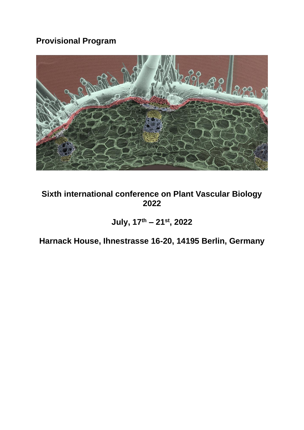## **Provisional Program**



## **Sixth international conference on Plant Vascular Biology 2022**

**July, 17th – 21st, 2022**

**Harnack House, Ihnestrasse 16-20, 14195 Berlin, Germany**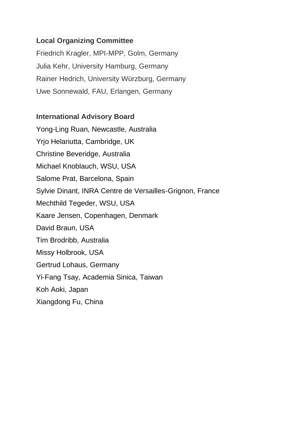#### **Local Organizing Committee**

Friedrich Kragler, MPI-MPP, Golm, Germany Julia Kehr, University Hamburg, Germany Rainer Hedrich, University Würzburg, Germany Uwe Sonnewald, FAU, Erlangen, Germany

#### **International Advisory Board**

Yong-Ling Ruan, Newcastle, Australia Yrjo Helariutta, Cambridge, UK Christine Beveridge, Australia Michael Knoblauch, WSU, USA Salome Prat, Barcelona, Spain Sylvie Dinant, INRA Centre de Versailles-Grignon, France Mechthild Tegeder, WSU, USA Kaare Jensen, Copenhagen, Denmark David Braun, USA Tim Brodribb, Australia Missy Holbrook, USA Gertrud Lohaus, Germany Yi-Fang Tsay, Academia Sinica, Taiwan Koh Aoki, Japan Xiangdong Fu, China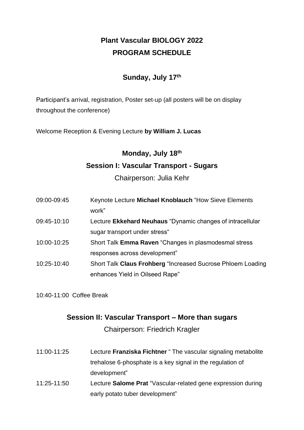## **Plant Vascular BIOLOGY 2022 PROGRAM SCHEDULE**

#### **Sunday, July 17th**

Participant's arrival, registration, Poster set-up (all posters will be on display throughout the conference)

Welcome Reception & Evening Lecture **by William J. Lucas**

# **Monday, July 18th Session I: Vascular Transport - Sugars**

Chairperson: Julia Kehr

| 09:00-09:45 | Keynote Lecture Michael Knoblauch "How Sieve Elements       |
|-------------|-------------------------------------------------------------|
|             | work"                                                       |
| 09:45-10:10 | Lecture Ekkehard Neuhaus "Dynamic changes of intracellular  |
|             | sugar transport under stress"                               |
| 10:00-10:25 | Short Talk Emma Raven "Changes in plasmodesmal stress       |
|             | responses across development"                               |
| 10:25-10:40 | Short Talk Claus Frohberg "Increased Sucrose Phloem Loading |
|             | enhances Yield in Oilseed Rape"                             |

10:40-11:00 Coffee Break

#### **Session II: Vascular Transport – More than sugars**

Chairperson: Friedrich Kragler

| 11:00-11:25 | Lecture Franziska Fichtner "The vascular signaling metabolite |
|-------------|---------------------------------------------------------------|
|             | trehalose 6-phosphate is a key signal in the regulation of    |
|             | development"                                                  |
| 11:25-11:50 | Lecture Salome Prat "Vascular-related gene expression during  |
|             | early potato tuber development"                               |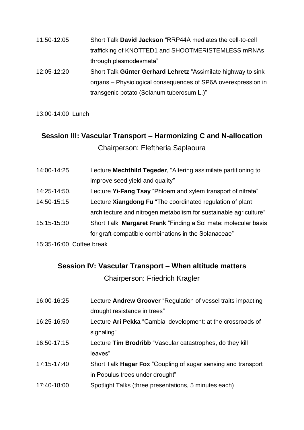| 11:50-12:05     | Short Talk David Jackson "RRP44A mediates the cell-to-cell    |
|-----------------|---------------------------------------------------------------|
|                 | trafficking of KNOTTED1 and SHOOTMERISTEMLESS mRNAs           |
|                 | through plasmodesmata"                                        |
| $12.05 - 12.20$ | Short Talk Günter Gerhard Lehretz "Assimilate bighway to sink |

12:05-12:20 Short Talk **Günter Gerhard Lehretz** "Assimilate highway to sink organs – Physiological consequences of SP6A overexpression in transgenic potato (Solanum tuberosum L.)"

13:00-14:00 Lunch

# **Session III: Vascular Transport – Harmonizing C and N-allocation** Chairperson: Eleftheria Saplaoura

| 14:00-14:25  | Lecture Mechthild Tegeder, "Altering assimilate partitioning to   |
|--------------|-------------------------------------------------------------------|
|              | improve seed yield and quality"                                   |
| 14:25-14:50. | Lecture Yi-Fang Tsay "Phloem and xylem transport of nitrate"      |
| 14:50-15:15  | Lecture Xiangdong Fu "The coordinated regulation of plant         |
|              | architecture and nitrogen metabolism for sustainable agriculture" |
| 15:15-15:30  | Short Talk Margaret Frank "Finding a Sol mate: molecular basis    |
|              | for graft-compatible combinations in the Solanaceae"              |
|              |                                                                   |

15:35-16:00 Coffee break

#### **Session IV: Vascular Transport – When altitude matters**

Chairperson: Friedrich Kragler

| 16:00-16:25 | Lecture Andrew Groover "Regulation of vessel traits impacting |
|-------------|---------------------------------------------------------------|
|             | drought resistance in trees"                                  |
| 16:25-16:50 | Lecture Ari Pekka "Cambial development: at the crossroads of  |
|             | signaling"                                                    |
| 16:50-17:15 | Lecture Tim Brodribb "Vascular catastrophes, do they kill     |
|             | leaves"                                                       |
| 17:15-17:40 | Short Talk Hagar Fox "Coupling of sugar sensing and transport |
|             | in Populus trees under drought"                               |
| 17:40-18:00 | Spotlight Talks (three presentations, 5 minutes each)         |
|             |                                                               |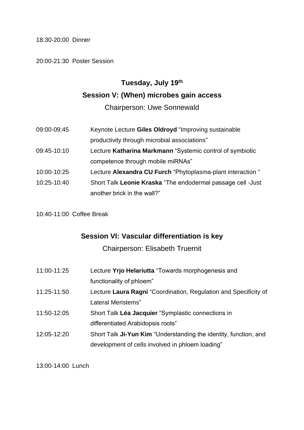18:30-20:00 Dinner

20:00-21:30 Poster Session

# **Tuesday, July 19th Session V: (When) microbes gain access**

Chairperson: Uwe Sonnewald

09:00-09:45 Keynote Lecture **Giles Oldroyd** "Improving sustainable productivity through microbial associations" 09:45-10:10 Lecture **Katharina Markmann** "Systemic control of symbiotic competence through mobile miRNAs" 10:00-10:25 Lecture **Alexandra CU Furch** "Phytoplasma-plant interaction " 10:25-10:40 Short Talk **Leonie Kraska** "The endodermal passage cell -Just another brick in the wall?"

10:40-11:00 Coffee Break

#### **Session VI: Vascular differentiation is key**

Chairperson: Elisabeth Truernit

| 11:00-11:25 | Lecture Yrjo Helariutta "Towards morphogenesis and               |
|-------------|------------------------------------------------------------------|
|             | functionality of phloem"                                         |
| 11:25-11:50 | Lecture Laura Ragni "Coordination, Regulation and Specificity of |
|             | Lateral Meristems"                                               |
| 11:50-12:05 | Short Talk Léa Jacquier "Symplastic connections in               |
|             | differentiated Arabidopsis roots"                                |
| 12:05-12:20 | Short Talk Ji-Yun Kim "Understanding the identity, function, and |
|             | development of cells involved in phloem loading"                 |

13:00-14:00 Lunch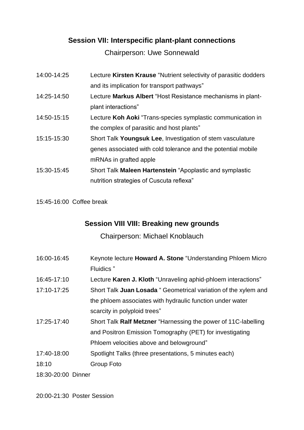## **Session VII: Interspecific plant-plant connections**

Chairperson: Uwe Sonnewald

| 14:00-14:25 | Lecture Kirsten Krause "Nutrient selectivity of parasitic dodders |
|-------------|-------------------------------------------------------------------|
|             | and its implication for transport pathways"                       |
| 14:25-14:50 | Lecture Markus Albert "Host Resistance mechanisms in plant-       |
|             | plant interactions"                                               |
| 14:50-15:15 | Lecture Koh Aoki "Trans-species symplastic communication in       |
|             | the complex of parasitic and host plants"                         |
| 15:15-15:30 | Short Talk Youngsuk Lee, Investigation of stem vasculature        |
|             | genes associated with cold tolerance and the potential mobile     |
|             | mRNAs in grafted apple                                            |
| 15:30-15:45 | Short Talk Maleen Hartenstein "Apoplastic and symplastic          |
|             | nutrition strategies of Cuscuta reflexa"                          |

15:45-16:00 Coffee break

## **Session VIII VIII: Breaking new grounds**

Chairperson: Michael Knoblauch

| 16:00-16:45        | Keynote lecture <b>Howard A. Stone</b> "Understanding Phloem Micro" |
|--------------------|---------------------------------------------------------------------|
|                    | Fluidics"                                                           |
| 16:45-17:10        | Lecture Karen J. Kloth "Unraveling aphid-phloem interactions"       |
| 17:10-17:25        | Short Talk Juan Losada " Geometrical variation of the xylem and     |
|                    | the phloem associates with hydraulic function under water           |
|                    | scarcity in polyploid trees"                                        |
| 17:25-17:40        | Short Talk Ralf Metzner "Harnessing the power of 11C-labelling      |
|                    | and Positron Emission Tomography (PET) for investigating            |
|                    | Phloem velocities above and belowground"                            |
| 17:40-18:00        | Spotlight Talks (three presentations, 5 minutes each)               |
| 18:10              | Group Foto                                                          |
| 18:30-20:00 Dinner |                                                                     |
|                    |                                                                     |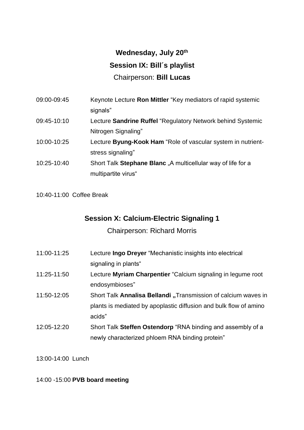# **Wednesday, July 20th Session IX: Bill´s playlist** Chairperson: **Bill Lucas**

| 09:00-09:45 | Keynote Lecture Ron Mittler "Key mediators of rapid systemic |
|-------------|--------------------------------------------------------------|
|             | signals"                                                     |
| 09:45-10:10 | Lecture Sandrine Ruffel "Regulatory Network behind Systemic  |
|             | Nitrogen Signaling"                                          |
| 10:00-10:25 | Lecture Byung-Kook Ham "Role of vascular system in nutrient- |
|             | stress signaling"                                            |
| 10:25-10:40 | Short Talk Stephane Blanc, A multicellular way of life for a |
|             | multipartite virus"                                          |

10:40-11:00 Coffee Break

### **Session X: Calcium-Electric Signaling 1**

Chairperson: Richard Morris

| 11:00-11:25 | Lecture Ingo Dreyer "Mechanistic insights into electrical         |
|-------------|-------------------------------------------------------------------|
|             | signaling in plants"                                              |
| 11:25-11:50 | Lecture Myriam Charpentier "Calcium signaling in legume root      |
|             | endosymbioses"                                                    |
| 11:50-12:05 | Short Talk Annalisa Bellandi, Transmission of calcium waves in    |
|             | plants is mediated by apoplastic diffusion and bulk flow of amino |
|             | acids"                                                            |
| 12:05-12:20 | Short Talk Steffen Ostendorp "RNA binding and assembly of a       |
|             | newly characterized phloem RNA binding protein"                   |

13:00-14:00 Lunch

#### 14:00 -15:00 **PVB board meeting**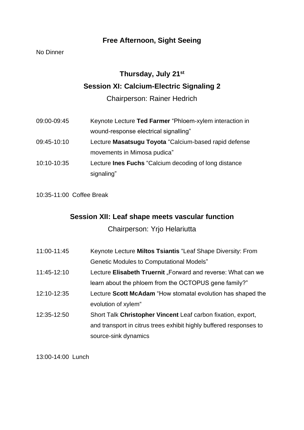## **Free Afternoon, Sight Seeing**

#### No Dinner

# **Thursday, July 21st Session XI: Calcium-Electric Signaling 2**

Chairperson: Rainer Hedrich

| 09:00-09:45 | Keynote Lecture Ted Farmer "Phloem-xylem interaction in      |
|-------------|--------------------------------------------------------------|
|             | wound-response electrical signalling"                        |
| 09:45-10:10 | Lecture Masatsugu Toyota "Calcium-based rapid defense        |
|             | movements in Mimosa pudica"                                  |
| 10:10-10:35 | Lecture <b>Ines Fuchs</b> "Calcium decoding of long distance |
|             | signaling"                                                   |

10:35-11:00 Coffee Break

#### **Session XII: Leaf shape meets vascular function**

Chairperson: Yrjo Helariutta

| 11:00-11:45 | Keynote Lecture Miltos Tsiantis "Leaf Shape Diversity: From        |
|-------------|--------------------------------------------------------------------|
|             | <b>Genetic Modules to Computational Models"</b>                    |
| 11:45-12:10 | Lecture Elisabeth Truernit "Forward and reverse: What can we       |
|             | learn about the phloem from the OCTOPUS gene family?"              |
| 12:10-12:35 | Lecture Scott McAdam "How stomatal evolution has shaped the        |
|             | evolution of xylem"                                                |
| 12:35-12:50 | Short Talk Christopher Vincent Leaf carbon fixation, export,       |
|             | and transport in citrus trees exhibit highly buffered responses to |
|             | source-sink dynamics                                               |

13:00-14:00 Lunch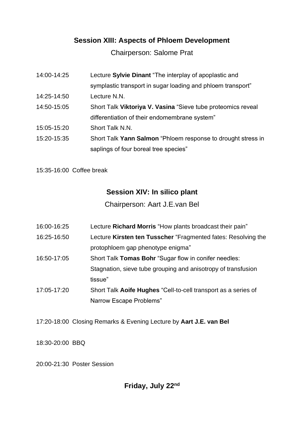#### **Session XIII: Aspects of Phloem Development**

Chairperson: Salome Prat

| 14:00-14:25 | Lecture Sylvie Dinant "The interplay of apoplastic and       |
|-------------|--------------------------------------------------------------|
|             | symplastic transport in sugar loading and phloem transport"  |
| 14:25-14:50 | Lecture N.N.                                                 |
| 14:50-15:05 | Short Talk Viktoriya V. Vasina "Sieve tube proteomics reveal |
|             | differentiation of their endomembrane system"                |
| 15:05-15:20 | Short Talk N.N.                                              |
| 15:20-15:35 | Short Talk Yann Salmon "Phloem response to drought stress in |
|             | saplings of four boreal tree species"                        |

15:35-16:00 Coffee break

#### **Session XIV: In silico plant**

Chairperson: Aart J.E.van Bel

- 16:00-16:25 Lecture **Richard Morris** "How plants broadcast their pain"
- 16:25-16:50 Lecture **Kirsten ten Tusscher** "Fragmented fates: Resolving the protophloem gap phenotype enigma"
- 16:50-17:05 Short Talk **Tomas Bohr** "Sugar flow in conifer needles: Stagnation, sieve tube grouping and anisotropy of transfusion tissue"
- 17:05-17:20 Short Talk **Aoife Hughes** "Cell-to-cell transport as a series of Narrow Escape Problems"
- 17:20-18:00 Closing Remarks & Evening Lecture by **Aart J.E. van Bel**

18:30-20:00 BBQ

20:00-21:30 Poster Session

### **Friday, July 22nd**